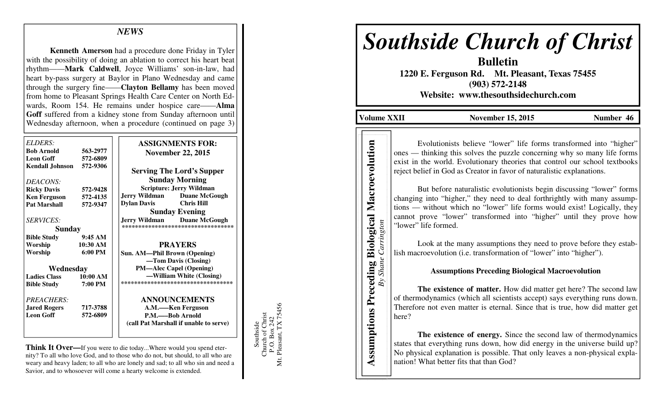## *NEWS*

 **Kenneth Amerson** had a procedure done Friday in Tyler with the possibility of doing an ablation to correct his heart beat rhythm——**Mark Caldwell**, Joyce Williams' son-in-law, had heart by-pass surgery at Baylor in Plano Wednesday and came through the surgery fine——**Clayton Bellamy** has been moved from home to Pleasant Springs Health Care Center on North Edwards, Room 154. He remains under hospice care——**Alma Goff** suffered from a kidney stone from Sunday afternoon until Wednesday afternoon, when a procedure (continued on page 3)

| ELDERS:             |                   | <b>ASSIGNMENTS FOR:</b>                      |
|---------------------|-------------------|----------------------------------------------|
| <b>Bob Arnold</b>   | 563-2977          | <b>November 22, 2015</b>                     |
| <b>Leon Goff</b>    | 572-6809          |                                              |
| Kendall Johnson     | 572-9306          |                                              |
|                     |                   | <b>Serving The Lord's Supper</b>             |
| DEACONS:            |                   | <b>Sunday Morning</b>                        |
| <b>Ricky Davis</b>  | 572-9428          | <b>Scripture: Jerry Wildman</b>              |
| <b>Ken Ferguson</b> | 572-4135          | <b>Jerry Wildman</b><br><b>Duane McGough</b> |
| <b>Pat Marshall</b> | 572-9347          | <b>Dylan Davis</b><br><b>Chris Hill</b>      |
|                     |                   | <b>Sunday Evening</b>                        |
| <b>SERVICES:</b>    |                   | <b>Jerry Wildman</b><br><b>Duane McGough</b> |
| <b>Sunday</b>       |                   | ***********************************          |
| <b>Bible Study</b>  | 9:45AM            |                                              |
| Worship             | 10:30 AM          | <b>PRAYERS</b>                               |
| Worship             | $6:00 \text{ PM}$ | Sun. AM—Phil Brown (Opening)                 |
|                     |                   | -Tom Davis (Closing)                         |
| Wednesday           |                   | <b>PM-Alec Capel (Opening)</b>               |
| <b>Ladies Class</b> | 10:00 AM          | —William White (Closing)                     |
| <b>Bible Study</b>  | 7:00 PM           | ***********************************          |
| PREACHERS:          |                   | <b>ANNOUNCEMENTS</b>                         |
| <b>Jared Rogers</b> | 717-3788          | A.M.—–Ken Ferguson                           |
| <b>Leon Goff</b>    | 572-6809          | P.M.——Bob Arnold                             |
|                     |                   | (call Pat Marshall if unable to serve)       |
|                     |                   |                                              |
|                     |                   |                                              |

**Think It Over—**If you were to die today...Where would you spend eternity? To all who love God, and to those who do not, but should, to all who are weary and heavy laden; to all who are lonely and sad; to all who sin and need a Savior, and to whosoever will come a hearty welcome is extended.

Mt. Pleasant, TX 75456 P.O. Box 242<br>Pleasant, TX 75456 Southside<br>Church of Christ Church of Christ P.O. Box 242 Southside Μt.

# *Southside Church of Christ*

**Bulletin 1220 E. Ferguson Rd. Mt. Pleasant, Texas 75455 (903) 572-2148** 

**Website: www.thesouthsidechurch.com** 

**Volume XXII November 15, 2015 Number 46** 

*By Shane Carrington*

 Evolutionists believe "lower" life forms transformed into "higher" ones — thinking this solves the puzzle concerning why so many life forms exist in the world. Evolutionary theories that control our school textbooks reject belief in God as Creator in favor of naturalistic explanations.

 But before naturalistic evolutionists begin discussing "lower" forms changing into "higher," they need to deal forthrightly with many assumptions — without which no "lower" life forms would exist! Logically, they cannot prove "lower" transformed into "higher" until they prove how "lower" life formed. **Assumptions** Preceding Biology<br> **Assumption Preceding Biology**<br> **Assumption**<br> **Assumption**<br> **Assumption**<br> **Assumption**<br> **Assumptions Preceding Biology**<br> **Assumptions Preceding Biology**<br> **Assumptions Preceding Biology**<br> **C** 

 Look at the many assumptions they need to prove before they establish macroevolution (i.e. transformation of "lower" into "higher").

### **Assumptions Preceding Biological Macroevolution**

 **The existence of matter.** How did matter get here? The second law of thermodynamics (which all scientists accept) says everything runs down. Therefore not even matter is eternal. Since that is true, how did matter get here?

**The existence of energy.** Since the second law of thermodynamics states that everything runs down, how did energy in the universe build up? No physical explanation is possible. That only leaves a non-physical expla-